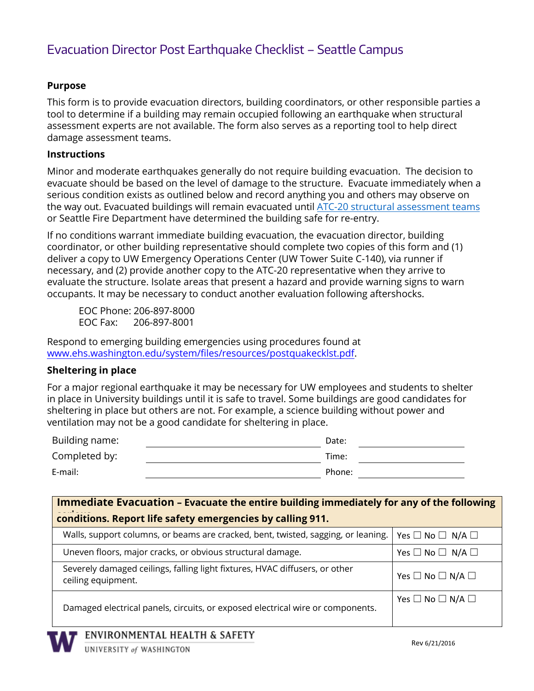## Evacuation Director Post Earthquake Checklist – Seattle Campus

### **Purpose**

This form is to provide evacuation directors, building coordinators, or other responsible parties a tool to determine if a building may remain occupied following an earthquake when structural assessment experts are not available. The form also serves as a reporting tool to help direct damage assessment teams.

#### **Instructions**

Minor and moderate earthquakes generally do not require building evacuation. The decision to evacuate should be based on the level of damage to the structure. Evacuate immediately when a serious condition exists as outlined below and record anything you and others may observe on the way out. Evacuated buildings will remain evacuated until [ATC-20 structural assessment](http://www.washington.edu/facilities/engr/files/pdf/atc.pdf) teams or Seattle Fire Department have determined the building safe for re-entry.

If no conditions warrant immediate building evacuation, the evacuation director, building coordinator, or other building representative should complete two copies of this form and (1) deliver a copy to UW Emergency Operations Center (UW Tower Suite C-140), via runner if necessary, and (2) provide another copy to the ATC-20 representative when they arrive to evaluate the structure. Isolate areas that present a hazard and provide warning signs to warn occupants. It may be necessary to conduct another evaluation following aftershocks.

EOC Phone: 206-897-8000 EOC Fax: 206-897-8001

Respond to emerging building emergencies using procedures found at [www.ehs.washington.edu/system/files/resources/postquakecklst.pdf](http://www.ehs.washington.edu/system/files/resources/postquakecklst.pdf).

#### **Sheltering in place**

For a major regional earthquake it may be necessary for UW employees and students to shelter in place in University buildings until it is safe to travel. Some buildings are good candidates for sheltering in place but others are not. For example, a science building without power and ventilation may not be a good candidate for sheltering in place.

| Building name: | Date:  |  |
|----------------|--------|--|
| Completed by:  | Time:  |  |
| E-mail:        | Phone: |  |

| Immediate Evacuation - Evacuate the entire building immediately for any of the following          |                                          |  |
|---------------------------------------------------------------------------------------------------|------------------------------------------|--|
| conditions. Report life safety emergencies by calling 911.                                        |                                          |  |
| Walls, support columns, or beams are cracked, bent, twisted, sagging, or leaning.                 | Yes $\square$ No $\square$ N/A $\square$ |  |
| Uneven floors, major cracks, or obvious structural damage.                                        | Yes $\square$ No $\square$ N/A $\square$ |  |
| Severely damaged ceilings, falling light fixtures, HVAC diffusers, or other<br>ceiling equipment. | Yes $\square$ No $\square$ N/A $\square$ |  |
| Damaged electrical panels, circuits, or exposed electrical wire or components.                    | Yes $\square$ No $\square$ N/A $\square$ |  |
| ENVIRONMENTAL HEALTH & SAFETY                                                                     |                                          |  |
| UNIVERSITY of WASHINGTON                                                                          | Rev 6/21/2016                            |  |